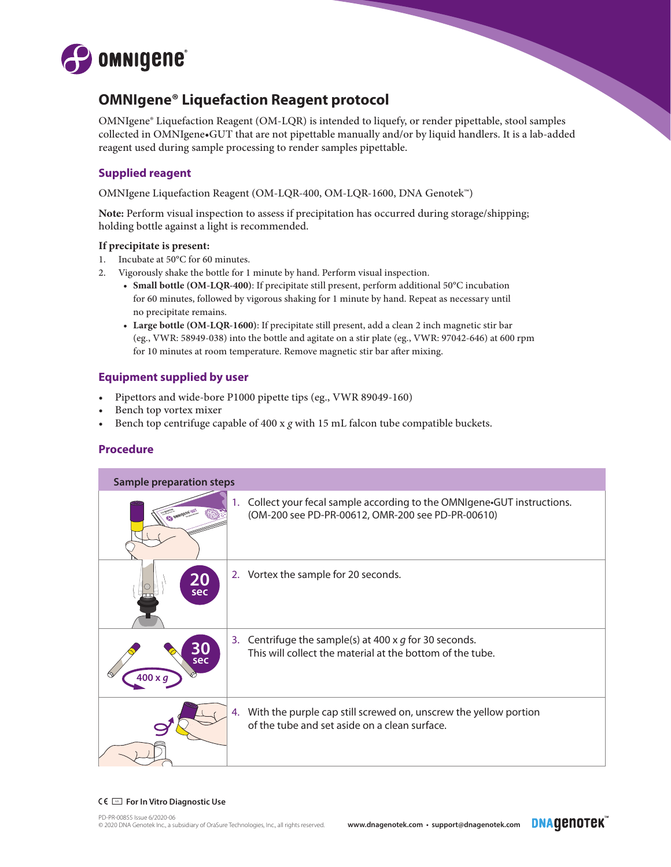

# **OMNIgene® Liquefaction Reagent protocol**

OMNIgene® Liquefaction Reagent (OM-LQR) is intended to liquefy, or render pipettable, stool samples collected in OMNIgene•GUT that are not pipettable manually and/or by liquid handlers. It is a lab-added reagent used during sample processing to render samples pipettable.

## **Supplied reagent**

OMNIgene Liquefaction Reagent (OM-LQR-400, OM-LQR-1600, DNA Genotek™)

**Note:** Perform visual inspection to assess if precipitation has occurred during storage/shipping; holding bottle against a light is recommended.

### **If precipitate is present:**

- 1. Incubate at 50°C for 60 minutes.
- 2. Vigorously shake the bottle for 1 minute by hand. Perform visual inspection.
	- **• Small bottle (OM-LQR-400)**: If precipitate still present, perform additional 50°C incubation for 60 minutes, followed by vigorous shaking for 1 minute by hand. Repeat as necessary until no precipitate remains.
	- **• Large bottle (OM-LQR-1600)**: If precipitate still present, add a clean 2 inch magnetic stir bar (eg., VWR: 58949-038) into the bottle and agitate on a stir plate (eg., VWR: 97042-646) at 600 rpm for 10 minutes at room temperature. Remove magnetic stir bar after mixing.

### **Equipment supplied by user**

- Pipettors and wide-bore P1000 pipette tips (eg., VWR 89049-160)
- Bench top vortex mixer
- Bench top centrifuge capable of 400 x *g* with 15 mL falcon tube compatible buckets.

### **Procedure**

| <b>Sample preparation steps</b> |  |                                                                                                                            |  |
|---------------------------------|--|----------------------------------------------------------------------------------------------------------------------------|--|
|                                 |  | Collect your fecal sample according to the OMNIgene.GUT instructions.<br>(OM-200 see PD-PR-00612, OMR-200 see PD-PR-00610) |  |
| <b>20</b><br>sec                |  | 2. Vortex the sample for 20 seconds.                                                                                       |  |
| sec<br>$400 \times g$           |  | Centrifuge the sample(s) at 400 x $g$ for 30 seconds.<br>This will collect the material at the bottom of the tube.         |  |
|                                 |  | With the purple cap still screwed on, unscrew the yellow portion<br>of the tube and set aside on a clean surface.          |  |

#### CV **For In Vitro Diagnostic Use**